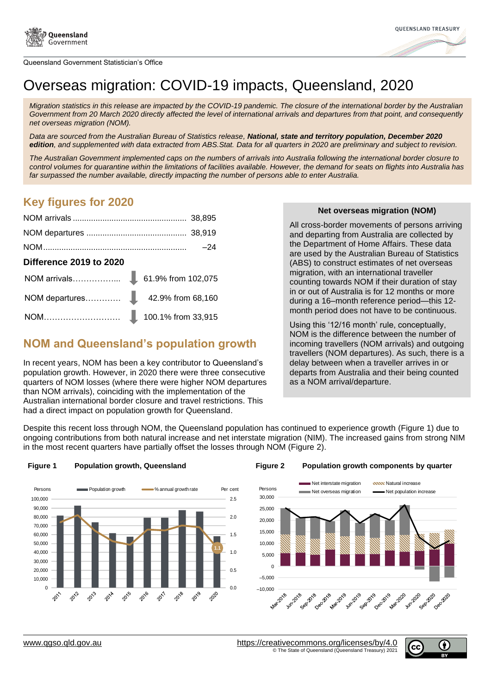



# Overseas migration: COVID-19 impacts, Queensland, 2020

*Migration statistics in this release are impacted by the COVID-19 pandemic. The closure of the international border by the Australian Government from 20 March 2020 directly affected the level of international arrivals and departures from that point, and consequently net overseas migration (NOM).*

*Data are sourced from the Australian Bureau of Statistics release, National, state and territory population, December 2020 edition, and supplemented with data extracted from ABS.Stat. Data for all quarters in 2020 are preliminary and subject to revision.*

*The Australian Government implemented caps on the numbers of arrivals into Australia following the international border closure to control volumes for quarantine within the limitations of facilities available. However, the demand for seats on flights into Australia has far surpassed the number available, directly impacting the number of persons able to enter Australia.* 

#### *From Figures for 2020 [services/docs2/Net%20Overseas%20Migration%20for%20Queensland%202020%20-](https://nexus.treasury.qld.gov.au/project/qgso-demography-services/docs2/Net%20Overseas%20Migration%20for%20Queensland%202020%20-%20special%20edition%201%20column%20version.docx)*

| <b>Difference 2019 to 2020</b> |  |
|--------------------------------|--|
|                                |  |
|                                |  |
|                                |  |

## **NOM and Queensland's population growth**

In recent years, NOM has been a key contributor to Queensland's population growth. However, in 2020 there were three consecutive quarters of NOM losses (where there were higher NOM departures than NOM arrivals), coinciding with the implementation of the Australian international border closure and travel restrictions. This had a direct impact on population growth for Queensland.

#### *[%20special%20edition%201%20column%20version.docx>](https://nexus.treasury.qld.gov.au/project/qgso-demography-services/docs2/Net%20Overseas%20Migration%20for%20Queensland%202020%20-%20special%20edition%201%20column%20version.docx)* **Net overseas migration (NOM)**

All cross-border movements of persons arriving and departing from Australia are collected by the Department of Home Affairs. These data are used by the Australian Bureau of Statistics (ABS) to construct estimates of net overseas migration, with an international traveller counting towards NOM if their duration of stay in or out of Australia is for 12 months or more during a 16–month reference period—this 12 month period does not have to be continuous.

Using this '12/16 month' rule, conceptually, NOM is the difference between the number of incoming travellers (NOM arrivals) and outgoing travellers (NOM departures). As such, there is a delay between when a traveller arrives in or departs from Australia and their being counted as a NOM arrival/departure.

Despite this recent loss through NOM, the Queensland population has continued to experience growth [\(Figure 1\)](#page-0-0) due to ongoing contributions from both natural increase and net interstate migration (NIM). The increased gains from strong NIM in the most recent quarters have partially offset the losses through NOM [\(Figure 2\)](#page-0-1).



#### <span id="page-0-0"></span>**Figure 1 Population growth, Queensland Figure 2 Population growth components by quarter**

<span id="page-0-1"></span>

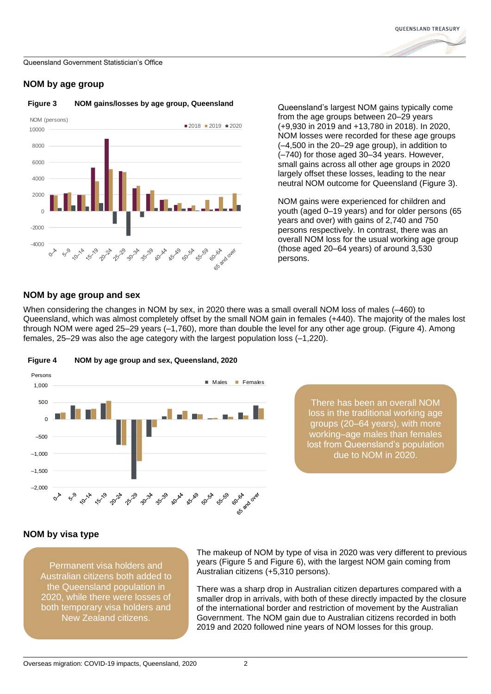

#### **NOM by age group**



<span id="page-1-0"></span>

**Figure 3 NOM gains/losses by age group, Queensland Queensland's largest NOM gains typically come** from the age groups between 20–29 years (+9,930 in 2019 and +13,780 in 2018). In 2020, NOM losses were recorded for these age groups (–4,500 in the 20–29 age group), in addition to (–740) for those aged 30–34 years. However, small gains across all other age groups in 2020 largely offset these losses, leading to the near neutral NOM outcome for Queensland [\(Figure 3\)](#page-1-0).

> • NOM gains were experienced for children and youth (aged 0–19 years) and for older persons (65 years and over) with gains of 2,740 and 750 persons respectively. In contrast, there was an overall NOM loss for the usual working age group (those aged 20–64 years) of around 3,530 persons.

#### **NOM by age group and sex**

When considering the changes in NOM by sex, in 2020 there was a small overall NOM loss of males (-460) to Queensland, which was almost completely offset by the small NOM gain in females (+440). The majority of the males lost through NOM were aged 25–29 years (–1,760), more than double the level for any other age group. [\(Figure 4\)](#page-1-1). Among females, 25–29 was also the age category with the largest population loss (–1,220).



<span id="page-1-1"></span>**Figure 4 NOM by age group and sex, Queensland, 2020**

There has been an overall NOM loss in the traditional working age groups (20–64 years), with more working–age males than females lost from Queensland's population due to NOM in 2020.

#### **NOM by visa type**

Permanent visa holders and Australian citizens both added to the Queensland population in 2020, while there were losses of both temporary visa holders and New Zealand citizens.

The makeup of NOM by type of visa in 2020 was very different to previous years [\(Figure 5](#page-2-0) and [Figure 6\)](#page-2-1), with the largest NOM gain coming from Australian citizens (+5,310 persons).

There was a sharp drop in Australian citizen departures compared with a smaller drop in arrivals, with both of these directly impacted by the closure of the international border and restriction of movement by the Australian Government. The NOM gain due to Australian citizens recorded in both 2019 and 2020 followed nine years of NOM losses for this group.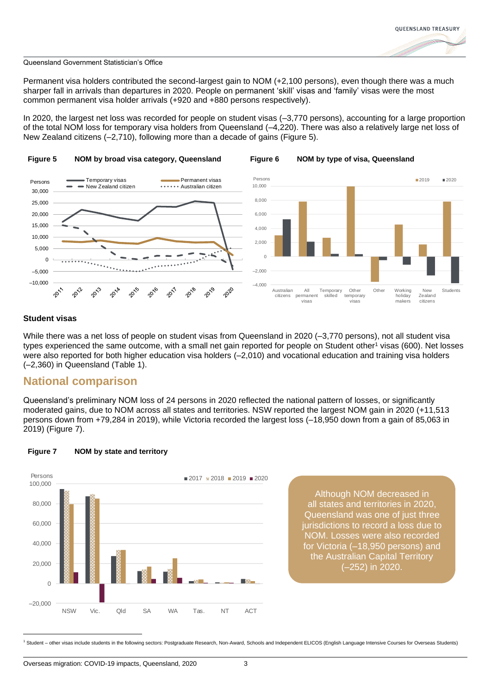<span id="page-2-1"></span>

Permanent visa holders contributed the second-largest gain to NOM (+2,100 persons), even though there was a much sharper fall in arrivals than departures in 2020. People on permanent 'skill' visas and 'family' visas were the most common permanent visa holder arrivals (+920 and +880 persons respectively).

In 2020, the largest net loss was recorded for people on student visas (–3,770 persons), accounting for a large proportion of the total NOM loss for temporary visa holders from Queensland (–4,220). There was also a relatively large net loss of New Zealand citizens (–2,710), following more than a decade of gains [\(Figure 5\)](#page-2-0).

<span id="page-2-0"></span>

#### **Student visas**

While there was a net loss of people on student visas from Queensland in 2020 (-3,770 persons), not all student visa types experienced the same outcome, with a small net gain reported for people on Student other<sup>1</sup> visas (600). Net losses were also reported for both higher education visa holders (–2,010) and vocational education and training visa holders (–2,360) in Queensland [\(Table 1\)](#page-3-0).

### **National comparison**

Queensland's preliminary NOM loss of 24 persons in 2020 reflected the national pattern of losses, or significantly moderated gains, due to NOM across all states and territories. NSW reported the largest NOM gain in 2020 (+11,513 persons down from +79,284 in 2019), while Victoria recorded the largest loss (–18,950 down from a gain of 85,063 in 2019) [\(Figure 7\)](#page-2-2).



#### <span id="page-2-2"></span>**Figure 7 NOM by state and territory**

Although NOM decreased in all states and territories in 2020, Queensland was one of just three jurisdictions to record a loss due to NOM. Losses were also recorded for Victoria (–18,950 persons) and the Australian Capital Territory (–252) in 2020.

<sup>1</sup> Student – other visas include students in the following sectors: Postgraduate Research, Non-Award, Schools and Independent ELICOS (English Language Intensive Courses for Overseas Students)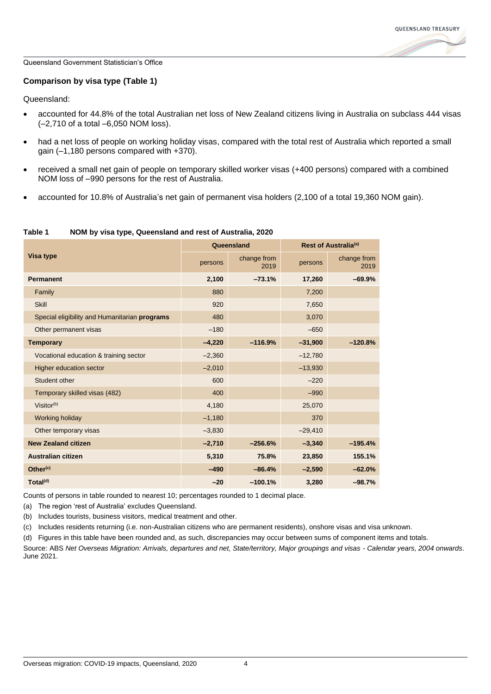

#### **Comparison by visa type [\(Table 1\)](#page-3-0)**

Queensland:

- accounted for 44.8% of the total Australian net loss of New Zealand citizens living in Australia on subclass 444 visas (–2,710 of a total –6,050 NOM loss).
- had a net loss of people on working holiday visas, compared with the total rest of Australia which reported a small gain (–1,180 persons compared with +370).
- received a small net gain of people on temporary skilled worker visas (+400 persons) compared with a combined NOM loss of –990 persons for the rest of Australia.
- accounted for 10.8% of Australia's net gain of permanent visa holders (2,100 of a total 19,360 NOM gain).

| <b>Visa type</b>                              | Queensland |                     | Rest of Australia <sup>(a)</sup> |                     |
|-----------------------------------------------|------------|---------------------|----------------------------------|---------------------|
|                                               | persons    | change from<br>2019 | persons                          | change from<br>2019 |
| <b>Permanent</b>                              | 2,100      | $-73.1%$            | 17,260                           | $-69.9%$            |
| Family                                        | 880        |                     | 7,200                            |                     |
| <b>Skill</b>                                  | 920        |                     | 7,650                            |                     |
| Special eligibility and Humanitarian programs | 480        |                     | 3,070                            |                     |
| Other permanent visas                         | $-180$     |                     | $-650$                           |                     |
| <b>Temporary</b>                              | $-4,220$   | $-116.9%$           | $-31,900$                        | $-120.8%$           |
| Vocational education & training sector        | $-2,360$   |                     | $-12,780$                        |                     |
| <b>Higher education sector</b>                | $-2,010$   |                     | $-13,930$                        |                     |
| Student other                                 | 600        |                     | $-220$                           |                     |
| Temporary skilled visas (482)                 | 400        |                     | $-990$                           |                     |
| $Visitor^{(b)}$                               | 4,180      |                     | 25,070                           |                     |
| Working holiday                               | $-1,180$   |                     | 370                              |                     |
| Other temporary visas                         | $-3,830$   |                     | $-29,410$                        |                     |
| <b>New Zealand citizen</b>                    | $-2,710$   | $-256.6%$           | $-3,340$                         | $-195.4%$           |
| <b>Australian citizen</b>                     | 5,310      | 75.8%               | 23,850                           | 155.1%              |
| Other <sup>(c)</sup>                          | $-490$     | $-86.4%$            | $-2,590$                         | $-62.0%$            |
| Total <sup>(d)</sup>                          | $-20$      | $-100.1%$           | 3,280                            | $-98.7%$            |

#### <span id="page-3-0"></span>**Table 1 NOM by visa type, Queensland and rest of Australia, 2020**

Counts of persons in table rounded to nearest 10; percentages rounded to 1 decimal place.

(a) The region 'rest of Australia' excludes Queensland.

(b) Includes tourists, business visitors, medical treatment and other.

(c) Includes residents returning (i.e. non-Australian citizens who are permanent residents), onshore visas and visa unknown.

(d) Figures in this table have been rounded and, as such, discrepancies may occur between sums of component items and totals.

Source: ABS *Net Overseas Migration: Arrivals, departures and net, State/territory, Major groupings and visas - Calendar years, 2004 onwards*. June 2021.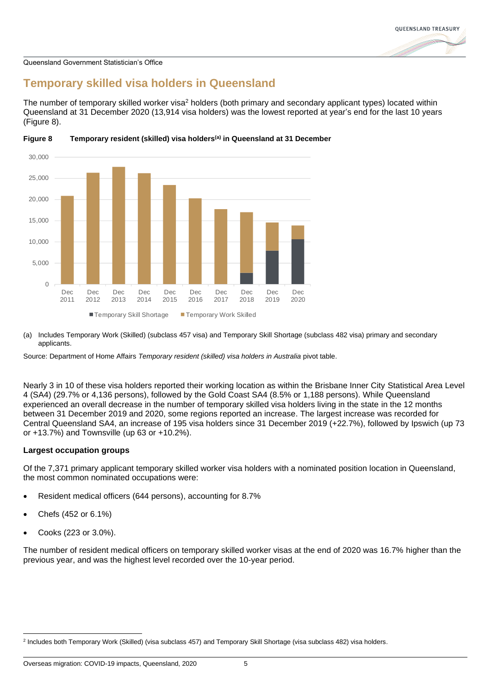

## **Temporary skilled visa holders in Queensland**

The number of temporary skilled worker visa<sup>2</sup> holders (both primary and secondary applicant types) located within Queensland at 31 December 2020 (13,914 visa holders) was the lowest reported at year's end for the last 10 years [\(Figure 8\)](#page-4-0).



<span id="page-4-0"></span>

(a) Includes Temporary Work (Skilled) (subclass 457 visa) and Temporary Skill Shortage (subclass 482 visa) primary and secondary applicants.

Source: Department of Home Affairs *Temporary resident (skilled) visa holders in Australia* pivot table.

Nearly 3 in 10 of these visa holders reported their working location as within the Brisbane Inner City Statistical Area Level 4 (SA4) (29.7% or 4,136 persons), followed by the Gold Coast SA4 (8.5% or 1,188 persons). While Queensland experienced an overall decrease in the number of temporary skilled visa holders living in the state in the 12 months between 31 December 2019 and 2020, some regions reported an increase. The largest increase was recorded for Central Queensland SA4, an increase of 195 visa holders since 31 December 2019 (+22.7%), followed by Ipswich (up 73 or +13.7%) and Townsville (up 63 or +10.2%).

#### **Largest occupation groups**

Of the 7,371 primary applicant temporary skilled worker visa holders with a nominated position location in Queensland, the most common nominated occupations were:

- Resident medical officers (644 persons), accounting for 8.7%
- Chefs (452 or 6.1%)
- Cooks (223 or 3.0%).

The number of resident medical officers on temporary skilled worker visas at the end of 2020 was 16.7% higher than the previous year, and was the highest level recorded over the 10-year period.

<sup>2</sup> Includes both Temporary Work (Skilled) (visa subclass 457) and Temporary Skill Shortage (visa subclass 482) visa holders.